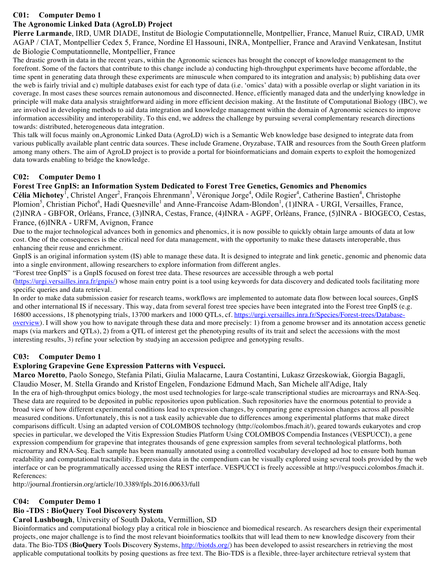# **C01: Computer Demo 1**

# **The Agronomic Linked Data (AgroLD) Project**

**Pierre Larmande**, IRD, UMR DIADE, Institut de Biologie Computationnelle, Montpellier, France, Manuel Ruiz, CIRAD, UMR AGAP / CIAT, Montpellier Cedex 5, France, Nordine El Hassouni, INRA, Montpellier, France and Aravind Venkatesan, Institut de Biologie Computationnelle, Montpellier, France

The drastic growth in data in the recent years, within the Agronomic sciences has brought the concept of knowledge management to the forefront. Some of the factors that contribute to this change include a) conducting high-throughput experiments have become affordable, the time spent in generating data through these experiments are minuscule when compared to its integration and analysis; b) publishing data over the web is fairly trivial and c) multiple databases exist for each type of data (i.e. 'omics' data) with a possible overlap or slight variation in its coverage. In most cases these sources remain autonomous and disconnected. Hence, efficiently managed data and the underlying knowledge in principle will make data analysis straightforward aiding in more efficient decision making. At the Institute of Computational Biology (IBC), we are involved in developing methods to aid data integration and knowledge management within the domain of Agronomic sciences to improve information accessibility and interoperability. To this end, we address the challenge by pursuing several complementary research directions towards: distributed, heterogeneous data integration.

This talk will focus mainly on,Agronomic Linked Data (AgroLD) wich is a Semantic Web knowledge base designed to integrate data from various publically available plant centric data sources. These include Gramene, Oryzabase, TAIR and resources from the South Green platform among many others. The aim of AgroLD project is to provide a portal for bioinformaticians and domain experts to exploit the homogenized data towards enabling to bridge the knowledge.

# **C02: Computer Demo 1**

# **Forest Tree GnpIS: an Information System Dedicated to Forest Tree Genetics, Genomics and Phenomics**

Célia Michotey<sup>1</sup>, Christel Anger<sup>2</sup>, François Ehrenmann<sup>3</sup>, Véronique Jorge<sup>4</sup>, Odile Rogier<sup>4</sup>, Catherine Bastien<sup>4</sup>, Christophe Plomion<sup>5</sup>, Christian Pichot<sup>6</sup>, Hadi Quesneville<sup>1</sup> and Anne-Francoise Adam-Blondon<sup>1</sup>, (1)INRA - URGI, Versailles, France, (2)INRA - GBFOR, Orléans, France, (3)INRA, Cestas, France, (4)INRA - AGPF, Orléans, France, (5)INRA - BIOGECO, Cestas, France, (6)INRA - URFM, Avignon, France

Due to the major technological advances both in genomics and phenomics, it is now possible to quickly obtain large amounts of data at low cost. One of the consequences is the critical need for data management, with the opportunity to make these datasets interoperable, thus enhancing their reuse and enrichment.

GnpIS is an original information system (IS) able to manage these data. It is designed to integrate and link genetic, genomic and phenomic data into a single environment, allowing researchers to explore information from different angles.

"Forest tree GnpIS" is a GnpIS focused on forest tree data. These resources are accessible through a web portal (https://urgi.versailles.inra.fr/gnpis/) whose main entry point is a tool using keywords for data discovery and dedicated tools facilitating more specific queries and data retrieval.

In order to make data submission easier for research teams, workflows are implemented to automate data flow between local sources, GnpIS and other international IS if necessary. This way, data from several forest tree species have been integrated into the Forest tree GnpIS (e.g. 16800 accessions, 18 phenotyping trials, 13700 markers and 1000 QTLs, cf. https://urgi.versailles.inra.fr/Species/Forest-trees/Databaseoverview). I will show you how to navigate through these data and more precisely: 1) from a genome browser and its annotation access genetic maps (via markers and QTLs), 2) from a QTL of interest get the phenotyping results of its trait and select the accessions with the most interesting results, 3) refine your selection by studying an accession pedigree and genotyping results.

# **C03: Computer Demo 1**

# **Exploring Grapevine Gene Expression Patterns with Vespucci.**

**Marco Moretto**, Paolo Sonego, Stefania Pilati, Giulia Malacarne, Laura Costantini, Lukasz Grzeskowiak, Giorgia Bagagli, Claudio Moser, M. Stella Grando and Kristof Engelen, Fondazione Edmund Mach, San Michele all'Adige, Italy In the era of high-throughput omics biology, the most used technologies for large-scale transcriptional studies are microarrays and RNA-Seq. These data are required to be deposited in public repositories upon publication. Such repositories have the enormous potential to provide a broad view of how different experimental conditions lead to expression changes, by comparing gene expression changes across all possible measured conditions. Unfortunately, this is not a task easily achievable due to differences among experimental platforms that make direct comparisons difficult. Using an adapted version of COLOMBOS technology (http://colombos.fmach.it/), geared towards eukaryotes and crop species in particular, we developed the Vitis Expression Studies Platform Using COLOMBOS Compendia Instances (VESPUCCI), a gene expression compendium for grapevine that integrates thousands of gene expression samples from several technological platforms, both microarray and RNA-Seq. Each sample has been manually annotated using a controlled vocabulary developed ad hoc to ensure both human readability and computational tractability. Expression data in the compendium can be visually explored using several tools provided by the web interface or can be programmatically accessed using the REST interface. VESPUCCI is freely accessible at http://vespucci.colombos.fmach.it. References:

http://journal.frontiersin.org/article/10.3389/fpls.2016.00633/full

# **C04: Computer Demo 1**

# **Bio -TDS : BioQuery Tool Discovery System**

**Carol Lushbough**, University of South Dakota, Vermillion, SD

Bioinformatics and computational biology play a critical role in bioscience and biomedical research. As researchers design their experimental projects, one major challenge is to find the most relevant bioinformatics toolkits that will lead them to new knowledge discovery from their data. The Bio-TDS (**BioQuery T**ools **D**iscovery **S**ystems, http://biotds.org/) has been developed to assist researchers in retrieving the most applicable computational toolkits by posing questions as free text. The Bio-TDS is a flexible, three-layer architecture retrieval system that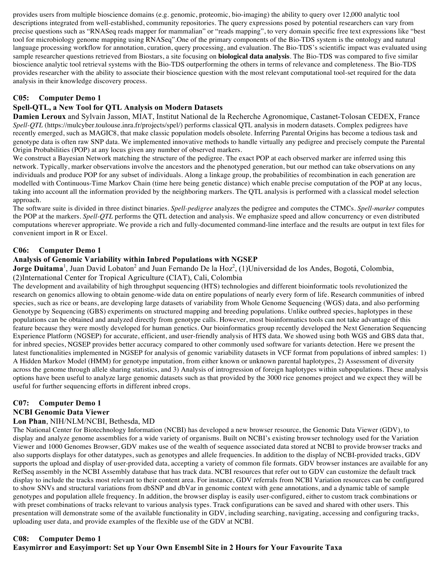provides users from multiple bioscience domains (e.g. genomic, proteomic, bio-imaging) the ability to query over 12,000 analytic tool descriptions integrated from well-established, community repositories. The query expressions posed by potential researchers can vary from precise questions such as "RNASeq reads mapper for mammalian" or "reads mapping", to very domain specific free text expressions like "best tool for microbiology genome mapping using RNASeq".One of the primary components of the Bio-TDS system is the ontology and natural language processing workflow for annotation, curation, query processing, and evaluation. The Bio-TDS's scientific impact was evaluated using sample researcher questions retrieved from Biostars, a site focusing on **biological data analysis**. The Bio-TDS was compared to five similar bioscience analytic tool retrieval systems with the Bio-TDS outperforming the others in terms of relevance and completeness. The Bio-TDS provides researcher with the ability to associate their bioscience question with the most relevant computational tool-set required for the data analysis in their knowledge discovery process.

## **C05: Computer Demo 1**

### **Spell-QTL, a New Tool for QTL Analysis on Modern Datasets**

**Damien Leroux** and Sylvain Jasson, MIAT, Institut National de la Recherche Agronomique, Castanet-Tolosan CEDEX, France *Spell-QTL* (https://mulcyber.toulouse.inra.fr/projects/spel/) performs classical QTL analysis in modern datasets. Complex pedigrees have recently emerged, such as MAGIC8, that make classic population models obsolete. Inferring Parental Origins has become a tedious task and genotype data is often raw SNP data. We implemented innovative methods to handle virtually any pedigree and precisely compute the Parental Origin Probabilities (POP) at any locus given any number of observed markers.

We construct a Bayesian Network matching the structure of the pedigree. The exact POP at each observed marker are inferred using this network. Typically, marker observations involve the ancestors and the phenotyped generation, but our method can take observations on any individuals and produce POP for any subset of individuals. Along a linkage group, the probabilities of recombination in each generation are modelled with Continuous-Time Markov Chain (time here being genetic distance) which enable precise computation of the POP at any locus, taking into account all the information provided by the neighboring markers. The QTL analysis is performed with a classical model selection approach.

The software suite is divided in three distinct binaries. *Spell-pedigree* analyzes the pedigree and computes the CTMCs. *Spell-marker* computes the POP at the markers. *Spell-QTL* performs the QTL detection and analysis. We emphasize speed and allow concurrency or even distributed computations wherever appropriate. We provide a rich and fully-documented command-line interface and the results are output in text files for convenient import in R or Excel.

#### **C06: Computer Demo 1**

## **Analysis of Genomic Variability within Inbred Populations with NGSEP**

**Jorge Duitama**<sup>1</sup>, Juan David Lobaton<sup>2</sup> and Juan Fernando De la Hoz<sup>2</sup>, (1)Universidad de los Andes, Bogotá, Colombia, (2)International Center for Tropical Agriculture (CIAT), Cali, Colombia

The development and availability of high throughput sequencing (HTS) technologies and different bioinformatic tools revolutionized the research on genomics allowing to obtain genome-wide data on entire populations of nearly every form of life. Research communities of inbred species, such as rice or beans, are developing large datasets of variability from Whole Genome Sequencing (WGS) data, and also performing Genotype by Sequencing (GBS) experiments on structured mapping and breeding populations. Unlike outbred species, haplotypes in these populations can be obtained and analyzed directly from genotype calls. However, most bioinformatics tools can not take advantage of this feature because they were mostly developed for human genetics. Our bioinformatics group recently developed the Next Generation Sequencing Experience Platform (NGSEP) for accurate, efficient, and user-friendly analysis of HTS data. We showed using both WGS and GBS data that, for inbred species, NGSEP provides better accuracy compared to other commonly used software for variants detection. Here we present the latest functionalities implemented in NGSEP for analysis of genomic variability datasets in VCF format from populations of inbred samples: 1) A Hidden Markov Model (HMM) for genotype imputation, from either known or unknown parental haplotypes, 2) Assessment of diversity across the genome through allele sharing statistics, and 3) Analysis of introgression of foreign haplotypes within subpopulations. These analysis options have been useful to analyze large genomic datasets such as that provided by the 3000 rice genomes project and we expect they will be useful for further sequencing efforts in different inbred crops.

# **C07: Computer Demo 1**

#### **NCBI Genomic Data Viewer**

#### **Lon Phan**, NIH/NLM/NCBI, Bethesda, MD

The National Center for Biotechnology Information (NCBI) has developed a new browser resource, the Genomic Data Viewer (GDV), to display and analyze genome assemblies for a wide variety of organisms. Built on NCBI's existing browser technology used for the Variation Viewer and 1000 Genomes Browser, GDV makes use of the wealth of sequence associated data stored at NCBI to provide browser tracks and also supports displays for other datatypes, such as genotypes and allele frequencies. In addition to the display of NCBI-provided tracks, GDV supports the upload and display of user-provided data, accepting a variety of common file formats. GDV browser instances are available for any RefSeq assembly in the NCBI Assembly database that has track data. NCBI resources that refer out to GDV can customize the default track display to include the tracks most relevant to their content area. For instance, GDV referrals from NCBI Variation resources can be configured to show SNVs and structural variations from dbSNP and dbVar in genomic context with gene annotations, and a dynamic table of sample genotypes and population allele frequency. In addition, the browser display is easily user-configured, either to custom track combinations or with preset combinations of tracks relevant to various analysis types. Track configurations can be saved and shared with other users. This presentation will demonstrate some of the available functionality in GDV, including searching, navigating, accessing and configuring tracks, uploading user data, and provide examples of the flexible use of the GDV at NCBI.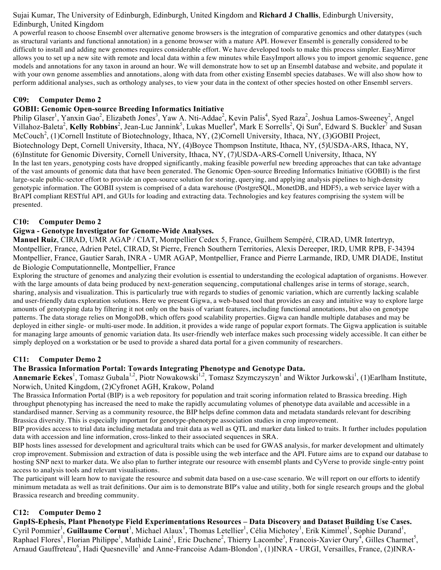## Sujai Kumar, The University of Edinburgh, Edinburgh, United Kingdom and **Richard J Challis**, Edinburgh University, Edinburgh, United Kingdom

A powerful reason to choose Ensembl over alternative genome browsers is the integration of comparative genomics and other datatypes (such as structural variants and functional annotation) in a genome browser with a mature API. However Ensembl is generally considered to be difficult to install and adding new genomes requires considerable effort. We have developed tools to make this process simpler. EasyMirror allows you to set up a new site with remote and local data within a few minutes while EasyImport allows you to import genomic sequence, gene models and annotations for any taxon in around an hour. We will demonstrate how to set up an Ensembl database and website, and populate it with your own genome assemblies and annotations, along with data from other existing Ensembl species databases. We will also show how to perform additional analyses, such as orthology analyses, to view your data in the context of other species hosted on other Ensembl servers.

# **C09: Computer Demo 2**

## **GOBII: Genomic Open-source Breeding Informatics Initiative**

Philip Glaser<sup>1</sup>, Yanxin Gao<sup>2</sup>, Elizabeth Jones<sup>3</sup>, Yaw A. Nti-Addae<sup>2</sup>, Kevin Palis<sup>4</sup>, Syed Raza<sup>2</sup>, Joshua Lamos-Sweeney<sup>2</sup>, Angel Villahoz-Baleta<sup>2</sup>, Kelly Robbins<sup>2</sup>, Jean-Luc Jannink<sup>5</sup>, Lukas Mueller<sup>4</sup>, Mark E Sorrells<sup>2</sup>, Qi Sun<sup>6</sup>, Edward S. Buckler<sup>7</sup> and Susan McCouch<sup>2</sup>, (1)Cornell Institute of Biotechnology, Ithaca, NY, (2)Cornell University, Ithaca, NY, (3)GOBII Project, Biotechnology Dept, Cornell University, Ithaca, NY, (4)Boyce Thompson Institute, Ithaca, NY, (5)USDA-ARS, Ithaca, NY, (6)Institute for Genomic Diversity, Cornell University, Ithaca, NY, (7)USDA-ARS-Cornell University, Ithaca, NY In the last ten years, genotyping costs have dropped significantly, making feasible powerful new breeding approaches that can take advantage of the vast amounts of genomic data that have been generated. The Genomic Open-source Breeding Informatics Initiative (GOBII) is the first large-scale public-sector effort to provide an open-source solution for storing, querying, and applying analysis pipelines to high-density genotypic information. The GOBII system is comprised of a data warehouse (PostgreSQL, MonetDB, and HDF5), a web service layer with a BrAPI compliant RESTful API, and GUIs for loading and extracting data. Technologies and key features comprising the system will be presented.

## **C10: Computer Demo 2**

## **Gigwa - Genotype Investigator for Genome-Wide Analyses.**

**Manuel Ruiz**, CIRAD, UMR AGAP / CIAT, Montpellier Cedex 5, France, Guilhem Sempéré, CIRAD, UMR Intertryp, Montpellier, France, Adrien Petel, CIRAD, St Pierre, French Southern Territories, Alexis Dereeper, IRD, UMR RPB, F-34394 Montpellier, France, Gautier Sarah, INRA - UMR AGAP, Montpellier, France and Pierre Larmande, IRD, UMR DIADE, Institut de Biologie Computationnelle, Montpellier, France

Exploring the structure of genomes and analyzing their evolution is essential to understanding the ecological adaptation of organisms. However, with the large amounts of data being produced by next-generation sequencing, computational challenges arise in terms of storage, search, sharing, analysis and visualization. This is particularly true with regards to studies of genomic variation, which are currently lacking scalable and user-friendly data exploration solutions. Here we present Gigwa, a web-based tool that provides an easy and intuitive way to explore large amounts of genotyping data by filtering it not only on the basis of variant features, including functional annotations, but also on genotype patterns. The data storage relies on MongoDB, which offers good scalability properties. Gigwa can handle multiple databases and may be deployed in either single- or multi-user mode. In addition, it provides a wide range of popular export formats. The Gigwa application is suitable for managing large amounts of genomic variation data. Its user-friendly web interface makes such processing widely accessible. It can either be simply deployed on a workstation or be used to provide a shared data portal for a given community of researchers.

#### **C11: Computer Demo 2**

# **The Brassica Information Portal: Towards Integrating Phenotype and Genotype Data.**

Annemarie Eckes<sup>1</sup>, Tomasz Gubala<sup>1,2</sup>, Piotr Nowakowski<sup>1,2</sup>, Tomasz Szymczyszyn<sup>1</sup> and Wiktor Jurkowski<sup>1</sup>, (1)Earlham Institute, Norwich, United Kingdom, (2)Cyfronet AGH, Krakow, Poland

The Brassica Information Portal (BIP) is a web repository for population and trait scoring information related to Brassica breeding. High throughput phenotyping has increased the need to make the rapidly accumulating volumes of phenotype data available and accessible in a standardised manner. Serving as a community resource, the BIP helps define common data and metadata standards relevant for describing Brassica diversity. This is especially important for genotype-phenotype association studies in crop improvement.

BIP provides access to trial data including metadata and trait data as well as QTL and marker data linked to traits. It further includes population data with accession and line information, cross-linked to their associated sequences in SRA.

BIP hosts lines assessed for development and agricultural traits which can be used for GWAS analysis, for marker development and ultimately crop improvement. Submission and extraction of data is possible using the web interface and the API. Future aims are to expand our database to hosting SNP next to marker data. We also plan to further integrate our resource with ensembl plants and CyVerse to provide single-entry point access to analysis tools and relevant visualisations.

The participant will learn how to navigate the resource and submit data based on a use-case scenario. We will report on our efforts to identify minimum metadata as well as trait definitions. Our aim is to demonstrate BIP's value and utility, both for single research groups and the global Brassica research and breeding community.

# **C12: Computer Demo 2**

**GnpIS-Ephesis, Plant Phenotype Field Experimentations Resources – Data Discovery and Dataset Building Use Cases.** Cyril Pommier<sup>1</sup>, Guillaume Cornut<sup>1</sup>, Michael Alaux<sup>1</sup>, Thomas Letellier<sup>1</sup>, Célia Michotey<sup>1</sup>, Erik Kimmel<sup>1</sup>, Sophie Durand<sup>1</sup>, Raphael Flores<sup>1</sup>, Florian Philippe<sup>1</sup>, Mathide Lainé<sup>1</sup>, Eric Duchene<sup>2</sup>, Thierry Lacombe<sup>3</sup>, Francois-Xavier Oury<sup>4</sup>, Gilles Charmet<sup>5</sup>, Arnaud Gauffreteau<sup>6</sup>, Hadi Quesneville<sup>1</sup> and Anne-Francoise Adam-Blondon<sup>1</sup>, (1)INRA - URGI, Versailles, France, (2)INRA-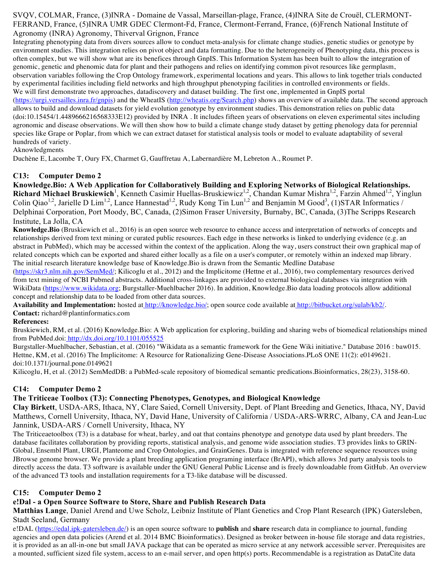SVQV, COLMAR, France, (3)INRA - Domaine de Vassal, Marseillan-plage, France, (4)INRA Site de Crouël, CLERMONT-FERRAND, France, (5)INRA UMR GDEC Clermont-Fd, France, Clermont-Ferrand, France, (6)French National Institute of Agronomy (INRA) Agronomy, Thiverval Grignon, France

Integrating phenotyping data from divers sources allow to conduct meta-analysis for climate change studies, genetic studies or genotype by environment studies. This integration relies on pivot object and data formatting. Due to the heterogeneity of Phenotyping data, this process is often complex, but we will show what are its benefices through GnpIS. This Information System has been built to allow the integration of genomic, genetic and phenomic data for plant and their pathogens and relies on identifying common pivot resources like germplasm, observation variables following the Crop Ontology framework, experimental locations and years. This allows to link together trials conducted by experimental facilities including field networks and high throughput phenotyping facilities in controlled environments or fields. We will first demonstrate two approaches, datadiscovery and dataset building. The first one, implemented in GnpIS portal (https://urgi.versailles.jnra.fr/gnpis) and the WheatIS (http://wheatis.org/Search.php) shows an overview of available data. The second approach allows to build and download datasets for yield evolution genotype by environment studies. This demonstration relies on public data (doi:10.15454/1.4489666216568333E12) provided by INRA . It includes fifteen years of observations on eleven experimental sites including agronomic and disease observations. We will then show how to build a climate change study dataset by getting phenology data for perennial species like Grape or Poplar, from which we can extract dataset for statistical analysis tools or model to evaluate adaptability of several hundreds of variety.

Aknowledgments

Duchène E, Lacombe T, Oury FX, Charmet G, Gauffretau A, Labernardière M, Lebreton A., Roumet P.

## **C13: Computer Demo 2**

**Knowledge.Bio: A Web Application for Collaboratively Building and Exploring Networks of Biological Relationships.** Richard Michael Bruskiewich<sup>1</sup>, Kenneth Casimir Huellas-Bruskiewicz<sup>1,2</sup>, Chandan Kumar Mishra<sup>1,2</sup>, Farzin Ahmed<sup>1,2</sup>, Yinglun Colin Qiao<sup>1,2</sup>, Jarielle D Lim<sup>1,2</sup>, Lance Hannestad<sup>1,2</sup>, Rudy Kong Tin Lun<sup>1,2</sup> and Benjamin M Good<sup>3</sup>, (1)STAR Informatics / Delphinai Corporation, Port Moody, BC, Canada, (2)Simon Fraser University, Burnaby, BC, Canada, (3)The Scripps Research Institute, La Jolla, CA

**Knowledge.Bio** (Bruskiewich et al., 2016) is an open source web resource to enhance access and interpretation of networks of concepts and relationships derived from text mining or curated public resources. Each edge in these networks is linked to underlying evidence (e.g. an abstract in PubMed), which may be accessed within the context of the application. Along the way, users construct their own graphical map of related concepts which can be exported and shared either locally as a file on a user's computer, or remotely within an indexed map library. The initial research literature knowledge base of Knowledge.Bio is drawn from the Semantic Medline Database

(https://skr3.nlm.nih.gov/SemMed/; Kilicoglu et al., 2012) and the Implicitome (Hettne et al., 2016), two complementary resources derived from text mining of NCBI Pubmed abstracts. Additional cross-linkages are provided to external biological databases via integration with WikiData (https://www.wikidata.org; Burgstaller-Muehlbacher 2016). In addition, Knowledge.Bio data loading protocols allow additional concept and relationship data to be loaded from other data sources.

**Availability and Implementation:** hosted at http://knowledge.bio/; open source code available at http://bitbucket.org/sulab/kb2/.

**Contact:** richard@plantinformatics.com

#### **References:**

Bruskiewich, RM, et al. (2016) Knowledge.Bio: A Web application for exploring, building and sharing webs of biomedical relationships mined from PubMed.doi: http://dx.doi.org/10.1101/055525

Burgstaller-Muehlbacher, Sebastian, et al. (2016) "Wikidata as a semantic framework for the Gene Wiki initiative." Database 2016 : baw015. Hettne, KM, et al. (2016) The Implicitome: A Resource for Rationalizing Gene-Disease Associations.PLoS ONE 11(2): e0149621. doi:10.1371/journal.pone.0149621

Kilicoglu, H, et al. (2012) SemMedDB: a PubMed-scale repository of biomedical semantic predications.Bioinformatics, 28(23), 3158-60.

#### **C14: Computer Demo 2**

#### **The Triticeae Toolbox (T3): Connecting Phenotypes, Genotypes, and Biological Knowledge**

**Clay Birkett**, USDA-ARS, Ithaca, NY, Clare Saied, Cornell University, Dept. of Plant Breeding and Genetics, Ithaca, NY, David Matthews, Cornell University, Ithaca, NY, David Hane, University of California / USDA-ARS-WRRC, Albany, CA and Jean-Luc Jannink, USDA-ARS / Cornell University, Ithaca, NY

The Triticeaetoolbox (T3) is a database for wheat, barley, and oat that contains phenotype and genotype data used by plant breeders. The database facilitates collaboration by providing reports, statistical analysis, and genome wide association studies. T3 provides links to GRIN-Global, Ensembl Plant, URGI, Planteome and Crop Ontologies, and GrainGenes. Data is integrated with reference sequence resources using JBrowse genome browser. We provide a plant breeding application programing interface (BrAPI), which allows 3rd party analysis tools to directly access the data. T3 software is available under the GNU General Public License and is freely downloadable from GitHub. An overview of the advanced T3 tools and installation requirements for a T3-like database will be discussed.

# **C15: Computer Demo 2**

# **e!Dal - a Open Source Software to Store, Share and Publish Research Data**

**Matthias Lange**, Daniel Arend and Uwe Scholz, Leibniz Institute of Plant Genetics and Crop Plant Research (IPK) Gatersleben, Stadt Seeland, Germany

e!DAL (https://edal.ipk-gatersleben.de/) is an open source software to **publish** and **share** research data in compliance to journal, funding agencies and open data policies (Arend et al. 2014 BMC Bioinformatics). Designed as broker between in-house file storage and data registries, it is provided as an all-in-one but small JAVA package that can be operated as micro service at any network accessible server. Prerequisites are a mounted, sufficient sized file system, access to an e-mail server, and open http(s) ports. Recommendable is a registration as DataCite data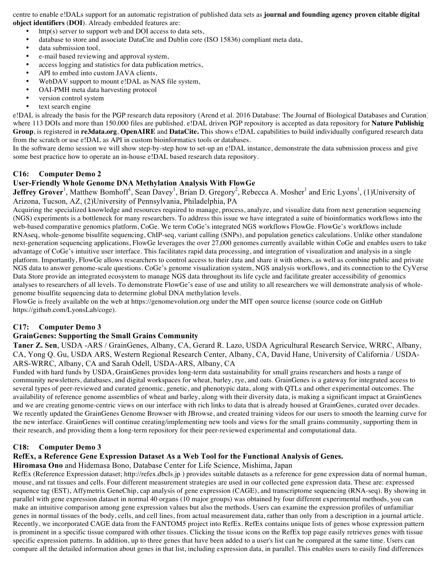centre to enable e!DALs support for an automatic registration of published data sets as **journal and founding agency proven citable digital object identifiers** (**DOI**). Already embedded features are:

- http(s) server to support web and DOI access to data sets,<br>• database to store and associate DataCite and Dublin core (
- database to store and associate DataCite and Dublin core (ISO 15836) compliant meta data,
- data submission tool.
- e-mail based reviewing and approval system,
- access logging and statistics for data publication metrics,
- API to embed into custom JAVA clients,
- WebDAV support to mount e!DAL as NAS file system,
- OAI-PMH meta data harvesting protocol
- version control system
- text search engine

e!DAL is already the basis for the PGP research data repository (Arend et al. 2016 Database: The Journal of Biological Databases and Curation) where 113 DOIs and more than 150.000 files are published. e!DAL driven PGP repository is accepted as data repository for **Nature Publishig Group**, is registered in **re3data.org**, **OpenAIRE** and **DataCite.** This shows e!DAL capabilities to build individually configured research data from the scratch or use e!DAL as API in custom bioinformatics tools or databases.

In the software demo session we will show step-by-step how to set-up an e!DAL instance, demonstrate the data submission process and give some best practice how to operate an in-house e!DAL based research data repository.

#### **C16: Computer Demo 2**

## **User-Friendly Whole Genome DNA Methylation Analysis With FlowGe**

**Jeffrey Grover**<sup>1</sup>, Matthew Bomhoff<sup>1</sup>, Sean Davey<sup>1</sup>, Brian D. Gregory<sup>2</sup>, Rebecca A. Mosher<sup>1</sup> and Eric Lyons<sup>1</sup>, (1)University of Arizona, Tucson, AZ, (2)University of Pennsylvania, Philadelphia, PA

Acquiring the specialized knowledge and resources required to manage, process, analyze, and visualize data from next generation sequencing (NGS) experiments is a bottleneck for many researchers. To address this issue we have integrated a suite of bioinformatics workflows into the web-based comparative genomics platform, CoGe. We term CoGe's integrated NGS workflows FlowGe. FlowGe's workflows include RNAseq, whole-genome bisulfite sequencing, ChIP-seq, variant calling (SNPs), and population genetics calculations. Unlike other standalone next-generation sequencing applications, FlowGe leverages the over 27,000 genomes currently available within CoGe and enables users to take advantage of CoGe's intuitive user interface. This facilitates rapid data processing, and integration of visualization and analysis in a single platform. Importantly, FlowGe allows researchers to control access to their data and share it with others, as well as combine public and private NGS data to answer genome-scale questions. CoGe's genome visualization system, NGS analysis workflows, and its connection to the CyVerse Data Store provide an integrated ecosystem to manage NGS data throughout its life cycle and facilitate greater accessibility of genomics analyses to researchers of all levels. To demonstrate FlowGe's ease of use and utility to all researchers we will demonstrate analysis of wholegenome bisulfite sequencing data to determine global DNA methylation levels.

FlowGe is freely available on the web at https://genomevolution.org under the MIT open source license (source code on GitHub https://github.com/LyonsLab/coge).

#### **C17: Computer Demo 3**

#### **GrainGenes: Supporting the Small Grains Community**

**Taner Z. Sen**, USDA -ARS / GrainGenes, Albany, CA, Gerard R. Lazo, USDA Agricultural Research Service, WRRC, Albany, CA, Yong Q. Gu, USDA ARS, Western Regional Research Center, Albany, CA, David Hane, University of California / USDA-ARS-WRRC, Albany, CA and Sarah Odell, USDA-ARS, Albany, CA

Funded with hard funds by USDA, GrainGenes provides long-term data sustainability for small grains researchers and hosts a range of community newsletters, databases, and digital workspaces for wheat, barley, rye, and oats. GrainGenes is a gateway for integrated access to several types of peer-reviewed and curated genomic, genetic, and phenotypic data, along with QTLs and other experimental outcomes. The availability of reference genome assemblies of wheat and barley, along with their diversity data, is making a significant impact at GrainGenes and we are creating genome-centric views on our interface with rich links to data that is already housed at GrainGenes, curated over decades. We recently updated the GrainGenes Genome Browser with JBrowse, and created training videos for our users to smooth the learning curve for the new interface. GrainGenes will continue creating/implementing new tools and views for the small grains community, supporting them in their research, and providing them a long-term repository for their peer-reviewed experimental and computational data.

#### **C18: Computer Demo 3**

#### **RefEx, a Reference Gene Expression Dataset As a Web Tool for the Functional Analysis of Genes.**

#### **Hiromasa Ono** and Hidemasa Bono, Database Center for Life Science, Mishima, Japan

RefEx (Reference Expression dataset; http://refex.dbcls.jp ) provides suitable datasets as a reference for gene expression data of normal human, mouse, and rat tissues and cells. Four different measurement strategies are used in our collected gene expression data. These are: expressed sequence tag (EST), Affymetrix GeneChip, cap analysis of gene expression (CAGE), and transcriptome sequencing (RNA-seq). By showing in parallel with gene expression dataset in normal 40 organs (10 major groups) was obtained by four different experimental methods, you can make an intuitive comparison among gene expression values but also the methods. Users can examine the expression profiles of unfamiliar genes in normal tissues of the body, cells, and cell lines, from actual measurement data, rather than only from a description in a journal article. Recently, we incorporated CAGE data from the FANTOM5 project into RefEx. RefEx contains unique lists of genes whose expression pattern is prominent in a specific tissue compared with other tissues. Clicking the tissue icons on the RefEx top page easily retrieves genes with tissue specific expression patterns. In addition, up to three genes that have been added to a user's list can be compared at the same time. Users can compare all the detailed information about genes in that list, including expression data, in parallel. This enables users to easily find differences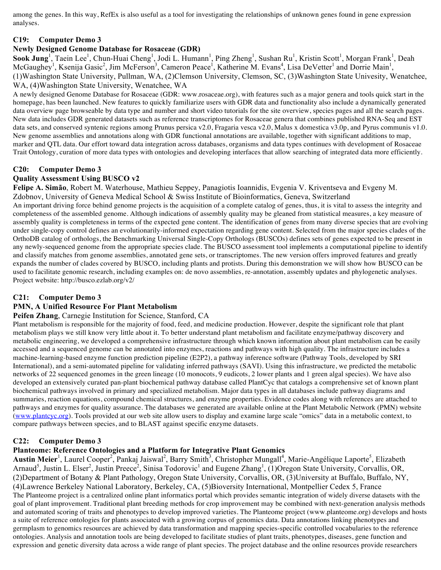among the genes. In this way, RefEx is also useful as a tool for investigating the relationships of unknown genes found in gene expression analyses.

### **C19: Computer Demo 3**

#### **Newly Designed Genome Database for Rosaceae (GDR)**

Sook Jung<sup>1</sup>, Taein Lee<sup>1</sup>, Chun-Huai Cheng<sup>1</sup>, Jodi L. Humann<sup>1</sup>, Ping Zheng<sup>1</sup>, Sushan Ru<sup>1</sup>, Kristin Scott<sup>1</sup>, Morgan Frank<sup>1</sup>, Deah McGaughey<sup>1</sup>, Ksenija Gasic<sup>2</sup>, Jim McFerson<sup>3</sup>, Cameron Peace<sup>1</sup>, Katherine M. Evans<sup>4</sup>, Lisa DeVetter<sup>1</sup> and Dorrie Main<sup>1</sup>, (1)Washington State University, Pullman, WA, (2)Clemson University, Clemson, SC, (3)Washington State Univesity, Wenatchee, WA, (4)Washington State University, Wenatchee, WA

A newly designed Genome Database for Rosaceae (GDR: www.rosaceae.org), with features such as a major genera and tools quick start in the homepage, has been launched. New features to quickly familiarize users with GDR data and functionality also include a dynamically generated data overview page browseable by data type and number and short video tutorials for the site overview, species pages and all the search pages. New data includes GDR generated datasets such as reference transcriptomes for Rosaceae genera that combines published RNA-Seq and EST data sets, and conserved syntenic regions among Prunus persica v2.0, Fragaria vesca v2.0, Malus x domestica v3.0p, and Pyrus communis v1.0. New genome assemblies and annotations along with GDR functional annotations are available, together with significant additions to map, marker and QTL data. Our effort toward data integration across databases, organisms and data types continues with development of Rosaceae Trait Ontology, curation of more data types with ontologies and developing interfaces that allow searching of integrated data more efficiently.

## **C20: Computer Demo 3**

## **Quality Assessment Using BUSCO v2**

**Felipe A. Simão**, Robert M. Waterhouse, Mathieu Seppey, Panagiotis Ioannidis, Evgenia V. Kriventseva and Evgeny M. Zdobnov, University of Geneva Medical School & Swiss Institute of Bioinformatics, Geneva, Switzerland

An important driving force behind genome projects is the acquisition of a complete catalog of genes, thus, it is vital to assess the integrity and completeness of the assembled genome. Although indications of assembly quality may be gleaned from statistical measures, a key measure of assembly quality is completeness in terms of the expected gene content. The identification of genes from many diverse species that are evolving under single-copy control defines an evolutionarily-informed expectation regarding gene content. Selected from the major species clades of the OrthoDB catalog of orthologs, the Benchmarking Universal Single-Copy Orthologs (BUSCOs) defines sets of genes expected to be present in any newly-sequenced genome from the appropriate species clade. The BUSCO assessment tool implements a computational pipeline to identify and classify matches from genome assemblies, annotated gene sets, or transcriptomes. The new version offers improved features and greatly expands the number of clades covered by BUSCO, including plants and protists. During this demonstration we will show how BUSCO can be used to facilitate genomic research, including examples on: de novo assemblies, re-annotation, assembly updates and phylogenetic analyses. Project website: http://busco.ezlab.org/v2/

# **C21: Computer Demo 3**

#### **PMN, A Unified Resource For Plant Metabolism**

#### **Peifen Zhang**, Carnegie Institution for Science, Stanford, CA

Plant metabolism is responsible for the majority of food, feed, and medicine production. However, despite the significant role that plant metabolism plays we still know very little about it. To better understand plant metabolism and facilitate enzyme/pathway discovery and metabolic engineering, we developed a comprehensive infrastructure through which known information about plant metabolism can be easily accessed and a sequenced genome can be annotated into enzymes, reactions and pathways with high quality. The infrastructure includes a machine-learning-based enzyme function prediction pipeline (E2P2), a pathway inference software (Pathway Tools, developed by SRI International), and a semi-automated pipeline for validating inferred pathways (SAVI). Using this infrastructure, we predicted the metabolic networks of 22 sequenced genomes in the green lineage (10 monocots, 9 eudicots, 2 lower plants and 1 green algal species). We have also developed an extensively curated pan-plant biochemical pathway database called PlantCyc that catalogs a comprehensive set of known plant biochemical pathways involved in primary and specialized metabolism. Major data types in all databases include pathway diagrams and summaries, reaction equations, compound chemical structures, and enzyme properties. Evidence codes along with references are attached to pathways and enzymes for quality assurance. The databases we generated are available online at the Plant Metabolic Network (PMN) website (www.plantcyc.org). Tools provided at our web site allow users to display and examine large scale "omics" data in a metabolic context, to compare pathways between species, and to BLAST against specific enzyme datasets.

#### **C22: Computer Demo 3**

#### **Planteome: Reference Ontologies and a Platform for Integrative Plant Genomics**

Austin Meier<sup>1</sup>, Laurel Cooper<sup>2</sup>, Pankaj Jaiswal<sup>2</sup>, Barry Smith<sup>3</sup>, Christopher Mungall<sup>4</sup>, Marie-Angélique Laporte<sup>5</sup>, Elizabeth Arnaud<sup>5</sup>, Justin L. Elser<sup>2</sup>, Justin Preece<sup>2</sup>, Sinisa Todorovic<sup>1</sup> and Eugene Zhang<sup>1</sup>, (1)Oregon State University, Corvallis, OR, (2)Department of Botany & Plant Pathology, Oregon State University, Corvallis, OR, (3)University at Buffalo, Buffalo, NY, (4)Lawrence Berkeley National Laboratory, Berkeley, CA, (5)Bioversity International, Montpellier Cedex 5, France The Planteome project is a centralized online plant informatics portal which provides semantic integration of widely diverse datasets with the goal of plant improvement. Traditional plant breeding methods for crop improvement may be combined with next-generation analysis methods and automated scoring of traits and phenotypes to develop improved varieties. The Planteome project (www.planteome.org) develops and hosts a suite of reference ontologies for plants associated with a growing corpus of genomics data. Data annotations linking phenotypes and germplasm to genomics resources are achieved by data transformation and mapping species-specific controlled vocabularies to the reference ontologies. Analysis and annotation tools are being developed to facilitate studies of plant traits, phenotypes, diseases, gene function and expression and genetic diversity data across a wide range of plant species. The project database and the online resources provide researchers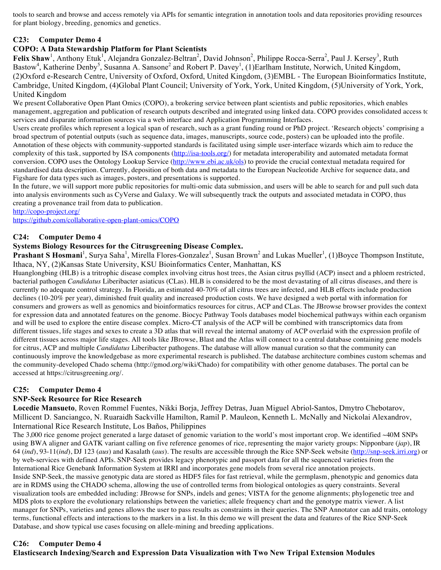tools to search and browse and access remotely via APIs for semantic integration in annotation tools and data repositories providing resources for plant biology, breeding, genomics and genetics.

# **C23: Computer Demo 4**

# **COPO: A Data Stewardship Platform for Plant Scientists**

Felix Shaw<sup>1</sup>, Anthony Etuk<sup>1</sup>, Alejandra Gonzalez-Beltran<sup>2</sup>, David Johnson<sup>2</sup>, Philippe Rocca-Serra<sup>2</sup>, Paul J. Kersey<sup>3</sup>, Ruth Bastow<sup>4</sup>, Katherine Denby<sup>5</sup>, Susanna A. Sansone<sup>2</sup> and Robert P. Davey<sup>1</sup>, (1)Earlham Institute, Norwich, United Kingdom, (2)Oxford e-Research Centre, University of Oxford, Oxford, United Kingdom, (3)EMBL - The European Bioinformatics Institute, Cambridge, United Kingdom, (4)Global Plant Council; University of York, York, United Kingdom, (5)University of York, York, United Kingdom

We present Collaborative Open Plant Omics (COPO), a brokering service between plant scientists and public repositories, which enables management, aggregation and publication of research outputs described and integrated using linked data. COPO provides consolidated access to services and disparate information sources via a web interface and Application Programming Interfaces.

Users create profiles which represent a logical span of research, such as a grant funding round or PhD project. 'Research objects' comprising a broad spectrum of potential outputs (such as sequence data, images, manuscripts, source code, posters) can be uploaded into the profile. Annotation of these objects with community-supported standards is facilitated using simple user-interface wizards which aim to reduce the complexity of this task, supported by ISA components (http://isa-tools.org/) for metadata interoperability and automated metadata format conversion. COPO uses the Ontology Lookup Service (http://www.ebi.ac.uk/ols) to provide the crucial contextual metadata required for standardised data description. Currently, deposition of both data and metadata to the European Nucleotide Archive for sequence data, and Figshare for data types such as images, posters, and presentations is supported.

In the future, we will support more public repositories for multi-omic data submission, and users will be able to search for and pull such data into analysis environments such as CyVerse and Galaxy. We will subsequently track the outputs and associated metadata in COPO, thus creating a provenance trail from data to publication.

http://copo-project.org/

https://github.com/collaborative-open-plant-omics/COPO

## **C24: Computer Demo 4**

### **Systems Biology Resources for the Citrusgreening Disease Complex.**

Prashant S Hosmani<sup>1</sup>, Surya Saha<sup>1</sup>, Mirella Flores-Gonzalez<sup>1</sup>, Susan Brown<sup>2</sup> and Lukas Mueller<sup>1</sup>, (1)Boyce Thompson Institute, Ithaca, NY, (2)Kansas State University, KSU Bioinformatics Center, Manhattan, KS

Huanglongbing (HLB) is a tritrophic disease complex involving citrus host trees, the Asian citrus psyllid (ACP) insect and a phloem restricted, bacterial pathogen *Candidatus* Liberibacter asiaticus (CLas). HLB is considered to be the most devastating of all citrus diseases, and there is currently no adequate control strategy. In Florida, an estimated 40-70% of all citrus trees are infected, and HLB effects include production declines (10-20% per year), diminished fruit quality and increased production costs. We have designed a web portal with information for consumers and growers as well as genomics and bioinformatics resources for citrus, ACP and CLas. The JBrowse browser provides the context for expression data and annotated features on the genome. Biocyc Pathway Tools databases model biochemical pathways within each organism and will be used to explore the entire disease complex. Micro-CT analysis of the ACP will be combined with transcriptomics data from different tissues, life stages and sexes to create a 3D atlas that will reveal the internal anatomy of ACP overlaid with the expression profile of different tissues across major life stages. All tools like JBrowse, Blast and the Atlas will connect to a central database containing gene models for citrus, ACP and multiple *Candidatus* Liberibacter pathogens. The database will allow manual curation so that the community can continuously improve the knowledgebase as more experimental research is published. The database architecture combines custom schemas and the community-developed Chado schema (http://gmod.org/wiki/Chado) for compatibility with other genome databases. The portal can be accessed at https://citrusgreening.org/.

#### **C25: Computer Demo 4**

#### **SNP-Seek Resource for Rice Research**

**Locedie Mansueto**, Roven Rommel Fuentes, Nikki Borja, Jeffrey Detras, Juan Miguel Abriol-Santos, Dmytro Chebotarov, Millicent D. Sanciangco, N. Ruaraidh Sackville Hamilton, Ramil P. Mauleon, Kenneth L. McNally and Nickolai Alexandrov, International Rice Research Institute, Los Baños, Philippines

The 3,000 rice genome project generated a large dataset of genomic variation to the world's most important crop. We identified  $\sim$ 40M SNPs using BWA aligner and GATK variant calling on five reference genomes of rice, representing the major variety groups: Nipponbare (*jap*), IR 64 (*ind*), 93-11(*ind*), DJ 123 (*aus*) and Kasalath (*aus*). The results are accessible through the Rice SNP-Seek website (http://snp-seek.irri.org) or by web-services with defined APIs. SNP-Seek provides legacy phenotypic and passport data for all the sequenced varieties from the International Rice Genebank Information System at IRRI and incorporates gene models from several rice annotation projects. Inside SNP-Seek, the massive genotypic data are stored as HDF5 files for fast retrieval, while the germplasm, phenotypic and genomics data are in RDMS using the CHADO schema, allowing the use of controlled terms from biological ontologies as query constraints. Several visualization tools are embedded including: JBrowse for SNPs, indels and genes; VISTA for the genome alignments; phylogenetic tree and MDS plots to explore the evolutionary relationships between the varieties; allele frequency chart and the genotype matrix viewer. A list manager for SNPs, varieties and genes allows the user to pass results as constraints in their queries. The SNP Annotator can add traits, ontology terms, functional effects and interactions to the markers in a list. In this demo we will present the data and features of the Rice SNP-Seek Database, and show typical use cases focusing on allele-mining and breeding applications.

#### **C26: Computer Demo 4**

**Elasticsearch Indexing/Search and Expression Data Visualization with Two New Tripal Extension Modules**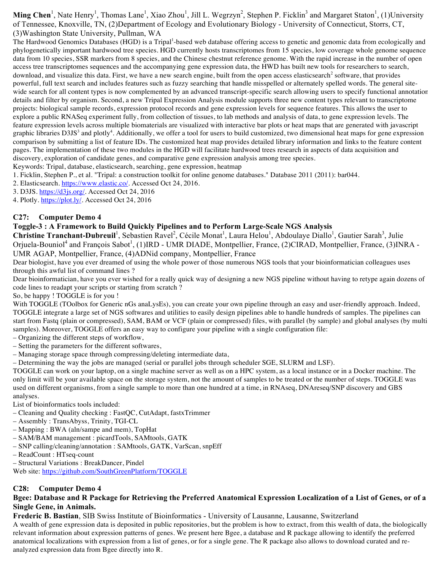Ming Chen<sup>1</sup>, Nate Henry<sup>1</sup>, Thomas Lane<sup>1</sup>, Xiao Zhou<sup>1</sup>, Jill L. Wegrzyn<sup>2</sup>, Stephen P. Ficklin<sup>3</sup> and Margaret Staton<sup>1</sup>, (1)University of Tennessee, Knoxville, TN, (2)Department of Ecology and Evolutionary Biology - University of Connecticut, Storrs, CT, (3)Washington State University, Pullman, WA

The Hardwood Genomics Databases (HGD) is a Tripal<sup>1</sup>-based web database offering access to genetic and genomic data from ecologically and phylogenetically important hardwood tree species. HGD currently hosts transcriptomes from 15 species, low coverage whole genome sequence data from 10 species, SSR markers from 8 species, and the Chinese chestnut reference genome. With the rapid increase in the number of open access tree transcriptomes sequences and the accompanying gene expression data, the HWD has built new tools for researchers to search, download, and visualize this data. First, we have a new search engine, built from the open access elasticsearch<sup>2</sup> software, that provides powerful, full text search and includes features such as fuzzy searching that handle misspelled or alternately spelled words. The general sitewide search for all content types is now complemented by an advanced transcript-specific search allowing users to specify functional annotation details and filter by organism. Second, a new Tripal Expression Analysis module supports three new content types relevant to transcriptome projects: biological sample records, expression protocol records and gene expression levels for sequence features. This allows the user to explore a public RNASeq experiment fully, from collection of tissues, to lab methods and analysis of data, to gene expression levels. The feature expression levels across multiple biomaterials are visualized with interactive bar plots or heat maps that are generated with javascript graphic libraries D3JS<sup>3</sup> and plotly<sup>4</sup>. Additionally, we offer a tool for users to build customized, two dimensional heat maps for gene expression comparison by submitting a list of feature IDs. The customized heat map provides detailed library information and links to the feature content pages. The implementation of these two modules in the HGD will facilitate hardwood trees research in aspects of data acquisition and discovery, exploration of candidate genes, and comparative gene expression analysis among tree species.

Keywords: Tripal, database, elasticsearch, searching, gene expression, heatmap

1. Ficklin, Stephen P., et al. "Tripal: a construction toolkit for online genome databases." Database 2011 (2011): bar044.

2. Elasticsearch. https://www.elastic.co/. Accessed Oct 24, 2016.

3. D3JS. https://d3js.org/. Accessed Oct 24, 2016

4. Plotly. https://plot.ly/. Accessed Oct 24, 2016

#### **C27: Computer Demo 4**

#### **Toggle-3 : A Framework to Build Quickly Pipelines and to Perform Large-Scale NGS Analysis**

Christine Tranchant-Dubreuil<sup>1</sup>, Sebastien Ravel<sup>2</sup>, Cécile Monat<sup>1</sup>, Laura Helou<sup>1</sup>, Abdoulaye Diallo<sup>1</sup>, Gautier Sarah<sup>3</sup>, Julie Orjuela-Bouniol<sup>4</sup> and François Sabot<sup>1</sup>, (1)IRD - UMR DIADE, Montpellier, France, (2)CIRAD, Montpellier, France, (3)INRA -UMR AGAP, Montpellier, France, (4)ADNid company, Montpellier, France

Dear biologist, have you ever dreamed of using the whole power of those numerous NGS tools that your bioinformatician colleagues uses through this awful list of command lines ?

Dear bioinformatician, have you ever wished for a really quick way of designing a new NGS pipeline without having to retype again dozens of code lines to readapt your scripts or starting from scratch ?

#### So, be happy ! TOGGLE is for you !

With TOGGLE (TOolbox for Generic nGs anaLysEs), you can create your own pipeline through an easy and user-friendly approach. Indeed, TOGGLE integrate a large set of NGS softwares and utilities to easily design pipelines able to handle hundreds of samples. The pipelines can start from Fastq (plain or compressed), SAM, BAM or VCF (plain or compressed) files, with parallel (by sample) and global analyses (by multi samples). Moreover, TOGGLE offers an easy way to configure your pipeline with a single configuration file:

– Organizing the different steps of workflow,

- Setting the parameters for the different softwares,
- Managing storage space through compressing/deleting intermediate data,

– Determining the way the jobs are managed (serial or parallel jobs through scheduler SGE, SLURM and LSF).

TOGGLE can work on your laptop, on a single machine server as well as on a HPC system, as a local instance or in a Docker machine. The only limit will be your available space on the storage system, not the amount of samples to be treated or the number of steps. TOGGLE was used on different organisms, from a single sample to more than one hundred at a time, in RNAseq, DNAreseq/SNP discovery and GBS analyses.

List of bioinformatics tools included:

- Cleaning and Quality checking : FastQC, CutAdapt, fastxTrimmer
- Assembly : TransAbyss, Trinity, TGI-CL
- Mapping : BWA (aln/sampe and mem), TopHat
- SAM/BAM management : picardTools, SAMtools, GATK
- SNP calling/cleaning/annotation : SAMtools, GATK, VarScan, snpEff
- ReadCount : HTseq-count
- Structural Variations : BreakDancer, Pindel

Web site: https://github.com/SouthGreenPlatform/TOGGLE

#### **C28: Computer Demo 4**

#### **Bgee: Database and R Package for Retrieving the Preferred Anatomical Expression Localization of a List of Genes, or of a Single Gene, in Animals.**

**Frederic B. Bastian**, SIB Swiss Institute of Bioinformatics - University of Lausanne, Lausanne, Switzerland

A wealth of gene expression data is deposited in public repositories, but the problem is how to extract, from this wealth of data, the biologically relevant information about expression patterns of genes. We present here Bgee, a database and R package allowing to identify the preferred anatomical localizations with expression from a list of genes, or for a single gene. The R package also allows to download curated and reanalyzed expression data from Bgee directly into R.